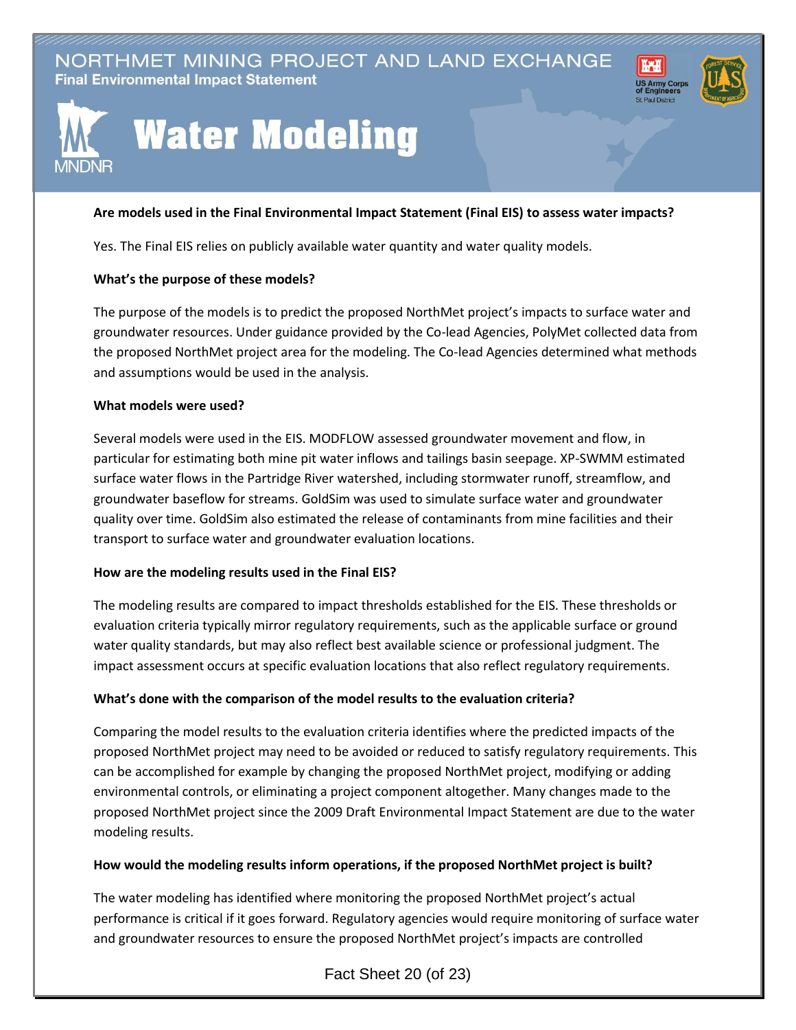NORTHMET MINING PROJECT AND LAND EXCHANGE **Final Environmental Impact Statement** 





# **Water Modeling**

## **Are models used in the Final Environmental Impact Statement (Final EIS) to assess water impacts?**

Yes. The Final EIS relies on publicly available water quantity and water quality models.

## **What's the purpose of these models?**

The purpose of the models is to predict the proposed NorthMet project's impacts to surface water and groundwater resources. Under guidance provided by the Co-lead Agencies, PolyMet collected data from the proposed NorthMet project area for the modeling. The Co-lead Agencies determined what methods and assumptions would be used in the analysis.

#### **What models were used?**

Several models were used in the EIS. MODFLOW assessed groundwater movement and flow, in particular for estimating both mine pit water inflows and tailings basin seepage. XP-SWMM estimated surface water flows in the Partridge River watershed, including stormwater runoff, streamflow, and groundwater baseflow for streams. GoldSim was used to simulate surface water and groundwater quality over time. GoldSim also estimated the release of contaminants from mine facilities and their transport to surface water and groundwater evaluation locations.

## **How are the modeling results used in the Final EIS?**

The modeling results are compared to impact thresholds established for the EIS. These thresholds or evaluation criteria typically mirror regulatory requirements, such as the applicable surface or ground water quality standards, but may also reflect best available science or professional judgment. The impact assessment occurs at specific evaluation locations that also reflect regulatory requirements.

## **What's done with the comparison of the model results to the evaluation criteria?**

Comparing the model results to the evaluation criteria identifies where the predicted impacts of the proposed NorthMet project may need to be avoided or reduced to satisfy regulatory requirements. This can be accomplished for example by changing the proposed NorthMet project, modifying or adding environmental controls, or eliminating a project component altogether. Many changes made to the proposed NorthMet project since the 2009 Draft Environmental Impact Statement are due to the water modeling results.

## **How would the modeling results inform operations, if the proposed NorthMet project is built?**

The water modeling has identified where monitoring the proposed NorthMet project's actual performance is critical if it goes forward. Regulatory agencies would require monitoring of surface water and groundwater resources to ensure the proposed NorthMet project's impacts are controlled

Fact Sheet 20 (of 23)